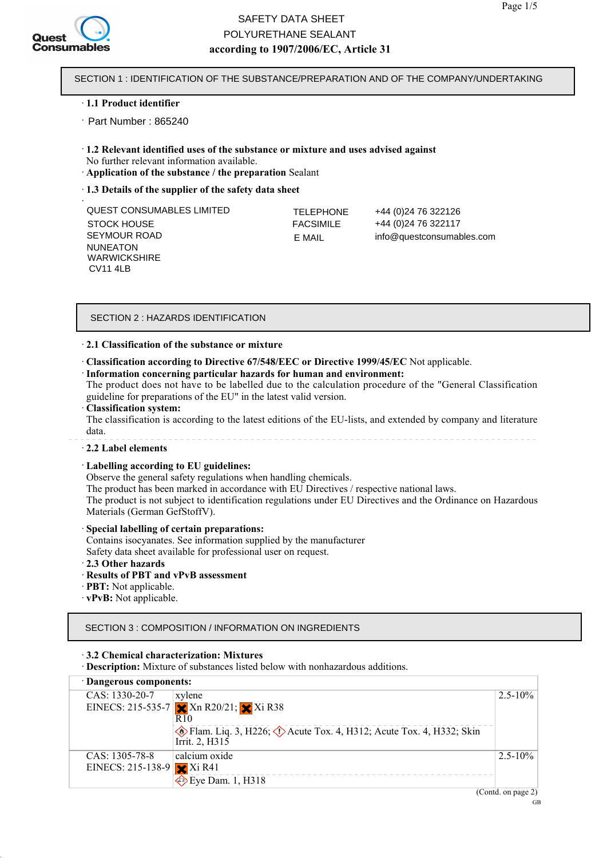

## **according to 1907/2006/EC, Article 31** SAFETY DATA SHEET POLYURETHANE SEALANT

SECTION 1 : IDENTIFICATION OF THE SUBSTANCE/PREPARATION AND OF THE COMPANY/UNDERTAKING

#### · **1.1 Product identifier**

Part Number : 865240 ·

- · **1.2 Relevant identified uses of the substance or mixture and uses advised against** No further relevant information available.
- · **Application of the substance / the preparation** Sealant
- · **1.3 Details of the supplier of the safety data sheet**

| $\sim$                    |                  |                           |
|---------------------------|------------------|---------------------------|
| QUEST CONSUMABLES LIMITED | <b>TELEPHONE</b> | +44 (0) 24 76 322126      |
| STOCK HOUSE               | <b>FACSIMILE</b> | +44 (0) 24 76 322117      |
| SEYMOUR ROAD              | F MAIL           | info@questconsumables.com |
| <b>NUNEATON</b>           |                  |                           |
| <b>WARWICKSHIRE</b>       |                  |                           |

#### SECTION 2 : HAZARDS IDENTIFICATION

#### · **2.1 Classification of the substance or mixture**

· **Classification according to Directive 67/548/EEC or Directive 1999/45/EC** Not applicable.

#### · **Information concerning particular hazards for human and environment:**

The product does not have to be labelled due to the calculation procedure of the "General Classification guideline for preparations of the EU" in the latest valid version.

#### · **Classification system:**

CV11 4LB

The classification is according to the latest editions of the EU-lists, and extended by company and literature data.

#### · **2.2 Label elements**

#### · **Labelling according to EU guidelines:**

Observe the general safety regulations when handling chemicals.

The product has been marked in accordance with EU Directives / respective national laws.

The product is not subject to identification regulations under EU Directives and the Ordinance on Hazardous Materials (German GefStoffV).

#### · **Special labelling of certain preparations:**

Contains isocyanates. See information supplied by the manufacturer

Safety data sheet available for professional user on request.

· **2.3 Other hazards**

#### · **Results of PBT and vPvB assessment**

- · **PBT:** Not applicable.
- · **vPvB:** Not applicable.

SECTION 3 : COMPOSITION / INFORMATION ON INGREDIENTS

#### · **3.2 Chemical characterization: Mixtures**

· **Description:** Mixture of substances listed below with nonhazardous additions.

| Dangerous components:       |                                                                                               |              |
|-----------------------------|-----------------------------------------------------------------------------------------------|--------------|
| CAS: 1330-20-7              | xylene                                                                                        | $2.5 - 10\%$ |
|                             | EINECS: 215-535-7 $\times$ Xn R20/21; $\times$ Xi R38                                         |              |
|                             | R <sub>10</sub>                                                                               |              |
|                             | Flam. Liq. 3, H226; $\Diamond$ Acute Tox. 4, H312; Acute Tox. 4, H332; Skin<br>Irrit. 2, H315 |              |
| CAS: 1305-78-8              | calcium oxide                                                                                 | $2.5 - 10\%$ |
| EINECS: 215-138-9 $X$ i R41 |                                                                                               |              |
|                             | $\diamond$ Eye Dam. 1, H318<br>$\sim$                                                         |              |

(Contd. on page 2)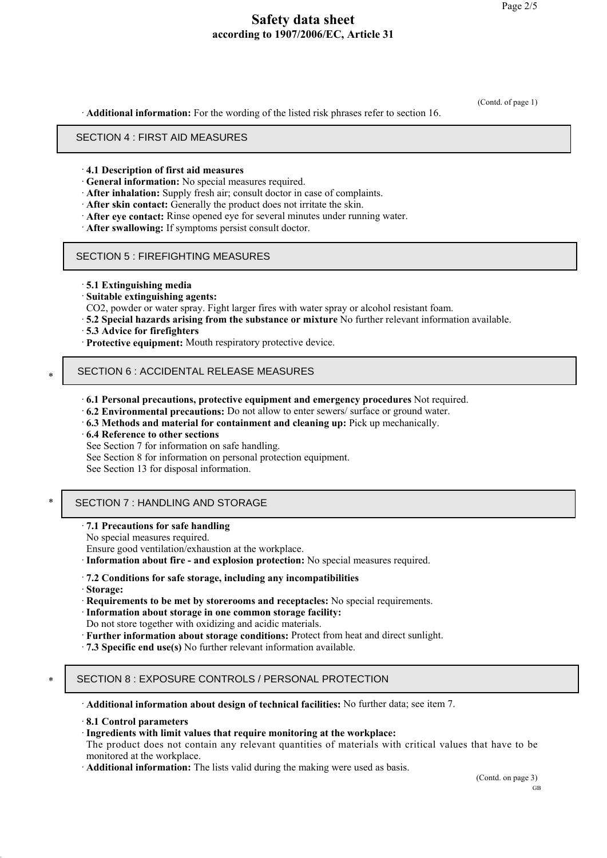(Contd. of page 1)

· **Additional information:** For the wording of the listed risk phrases refer to section 16.

#### **SECTION 4: First aid measures** SECTION 4 : FIRST AID MEASURES

#### · **4.1 Description of first aid measures**

- · **General information:** No special measures required.
- · **After inhalation:** Supply fresh air; consult doctor in case of complaints.
- · **After skin contact:** Generally the product does not irritate the skin.
- · **After eye contact:** Rinse opened eye for several minutes under running water.
- · **After swallowing:** If symptoms persist consult doctor.

#### SECTION 5 : FIREFIGHTING MEASURES

- · **5.1 Extinguishing media**
- · **Suitable extinguishing agents:**
- CO2, powder or water spray. Fight larger fires with water spray or alcohol resistant foam.
- · **5.2 Special hazards arising from the substance or mixture** No further relevant information available.
- · **5.3 Advice for firefighters**
- · **Protective equipment:** Mouth respiratory protective device.

# \* **SECTION 6: Accidental release measures** SECTION 6 : ACCIDENTAL RELEASE MEASURES

- · **6.1 Personal precautions, protective equipment and emergency procedures** Not required.
- · **6.2 Environmental precautions:** Do not allow to enter sewers/ surface or ground water.
- · **6.3 Methods and material for containment and cleaning up:** Pick up mechanically.
- · **6.4 Reference to other sections**
- See Section 7 for information on safe handling.
- See Section 8 for information on personal protection equipment.
- See Section 13 for disposal information.

## \* **SECTION 7: Handling and storage** SECTION 7 : HANDLING AND STORAGE

- · **7.1 Precautions for safe handling**
- No special measures required.

Ensure good ventilation/exhaustion at the workplace.

- · **Information about fire and explosion protection:** No special measures required.
- · **7.2 Conditions for safe storage, including any incompatibilities**
- · **Storage:**
- · **Requirements to be met by storerooms and receptacles:** No special requirements.
- · **Information about storage in one common storage facility:**
- Do not store together with oxidizing and acidic materials.
- · **Further information about storage conditions:** Protect from heat and direct sunlight.
- · **7.3 Specific end use(s)** No further relevant information available.

## \* **SECTION 8: Exposure controls/personal protection** SECTION 8 : EXPOSURE CONTROLS / PERSONAL PROTECTION

· **Additional information about design of technical facilities:** No further data; see item 7.

· **8.1 Control parameters**

#### · **Ingredients with limit values that require monitoring at the workplace:**

The product does not contain any relevant quantities of materials with critical values that have to be monitored at the workplace.

· **Additional information:** The lists valid during the making were used as basis.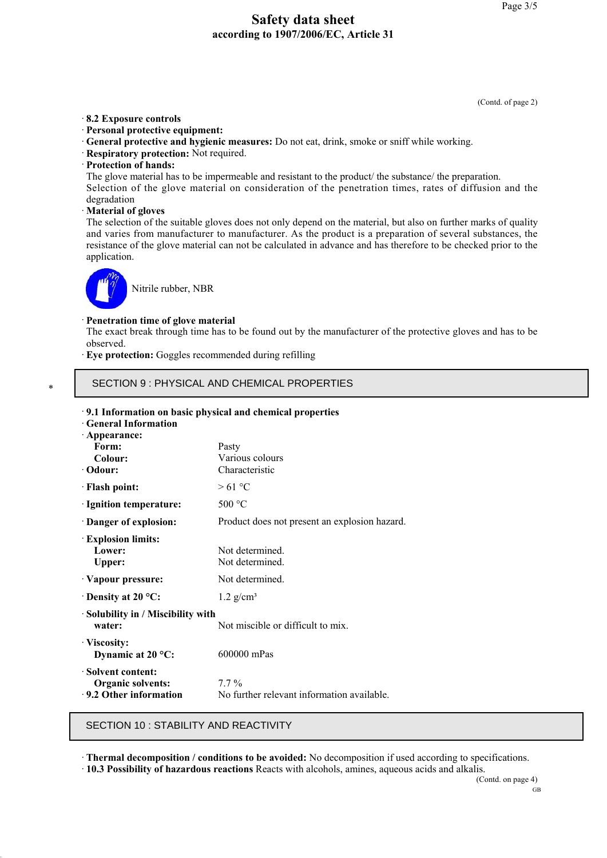(Contd. of page 2)

#### · **8.2 Exposure controls**

- · **Personal protective equipment:**
- · **General protective and hygienic measures:** Do not eat, drink, smoke or sniff while working.
- · **Respiratory protection:** Not required.
- · **Protection of hands:**
- The glove material has to be impermeable and resistant to the product/ the substance/ the preparation.

Selection of the glove material on consideration of the penetration times, rates of diffusion and the degradation

· **Material of gloves**

The selection of the suitable gloves does not only depend on the material, but also on further marks of quality and varies from manufacturer to manufacturer. As the product is a preparation of several substances, the resistance of the glove material can not be calculated in advance and has therefore to be checked prior to the application.



Nitrile rubber, NBR

#### · **Penetration time of glove material**

The exact break through time has to be found out by the manufacturer of the protective gloves and has to be observed.

· **Eye protection:** Goggles recommended during refilling

# \* **SECTION 9: Physical and chemical properties** SECTION 9 : PHYSICAL AND CHEMICAL PROPERTIES

#### · **9.1 Information on basic physical and chemical properties**

· **General Information**

| · Appearance:                                                                |                                                       |
|------------------------------------------------------------------------------|-------------------------------------------------------|
| Form:                                                                        | Pasty                                                 |
| Colour:                                                                      | Various colours                                       |
| · Odour:                                                                     | Characteristic                                        |
| · Flash point:                                                               | >61 °C                                                |
| Ignition temperature:                                                        | 500 °C                                                |
| Danger of explosion:                                                         | Product does not present an explosion hazard.         |
| <b>Explosion limits:</b><br>Lower:<br><b>Upper:</b>                          | Not determined.<br>Not determined.                    |
| Vapour pressure:                                                             | Not determined.                                       |
| $\cdot$ Density at 20 °C:                                                    | $1.2$ g/cm <sup>3</sup>                               |
| Solubility in / Miscibility with<br>water:                                   | Not miscible or difficult to mix.                     |
| · Viscosity:<br>Dynamic at $20^{\circ}$ C:                                   | 600000 mPas                                           |
| <b>Solvent content:</b><br><b>Organic solvents:</b><br>9.2 Other information | $7.7\%$<br>No further relevant information available. |

#### **SECTION 10: Stability and reactivity** SECTION 10 : STABILITY AND REACTIVITY

· **Thermal decomposition / conditions to be avoided:** No decomposition if used according to specifications.

· **10.3 Possibility of hazardous reactions** Reacts with alcohols, amines, aqueous acids and alkalis.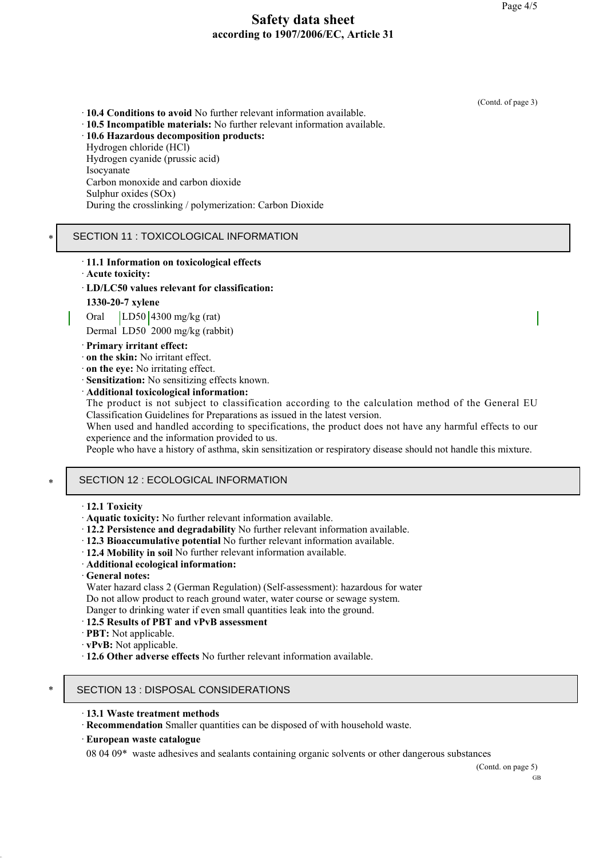(Contd. of page 3)

· **10.4 Conditions to avoid** No further relevant information available. · **10.5 Incompatible materials:** No further relevant information available.

· **10.6 Hazardous decomposition products:**

Hydrogen chloride (HCl)

Hydrogen cyanide (prussic acid) Isocyanate Carbon monoxide and carbon dioxide Sulphur oxides (SOx) During the crosslinking / polymerization: Carbon Dioxide

## SECTION 11 : TOXICOLOGICAL INFORMATION

- · **11.1 Information on toxicological effects**
- · **Acute toxicity:**

\*

- · **LD/LC50 values relevant for classification:**
- **1330-20-7 xylene**

Oral LD50 4300 mg/kg (rat)

Dermal LD50 2000 mg/kg (rabbit)

### · **Primary irritant effect:**

- · **on the skin:** No irritant effect.
- · **on the eye:** No irritating effect.
- · **Sensitization:** No sensitizing effects known.
- · **Additional toxicological information:**

The product is not subject to classification according to the calculation method of the General EU Classification Guidelines for Preparations as issued in the latest version.

When used and handled according to specifications, the product does not have any harmful effects to our experience and the information provided to us.

People who have a history of asthma, skin sensitization or respiratory disease should not handle this mixture.

# \* **SECTION 12: Ecological information** SECTION 12 : ECOLOGICAL INFORMATION

### · **12.1 Toxicity**

- · **Aquatic toxicity:** No further relevant information available.
- · **12.2 Persistence and degradability** No further relevant information available.
- · **12.3 Bioaccumulative potential** No further relevant information available.
- · **12.4 Mobility in soil** No further relevant information available.
- · **Additional ecological information:**
- · **General notes:**

Water hazard class 2 (German Regulation) (Self-assessment): hazardous for water Do not allow product to reach ground water, water course or sewage system. Danger to drinking water if even small quantities leak into the ground.

#### · **12.5 Results of PBT and vPvB assessment**

- · **PBT:** Not applicable.
- · **vPvB:** Not applicable.

· **12.6 Other adverse effects** No further relevant information available.

## \* **SECTION 13: Disposal considerations** SECTION 13 : DISPOSAL CONSIDERATIONS

- · **13.1 Waste treatment methods**
- · **Recommendation** Smaller quantities can be disposed of with household waste.
- · **European waste catalogue**

08 04 09\* waste adhesives and sealants containing organic solvents or other dangerous substances